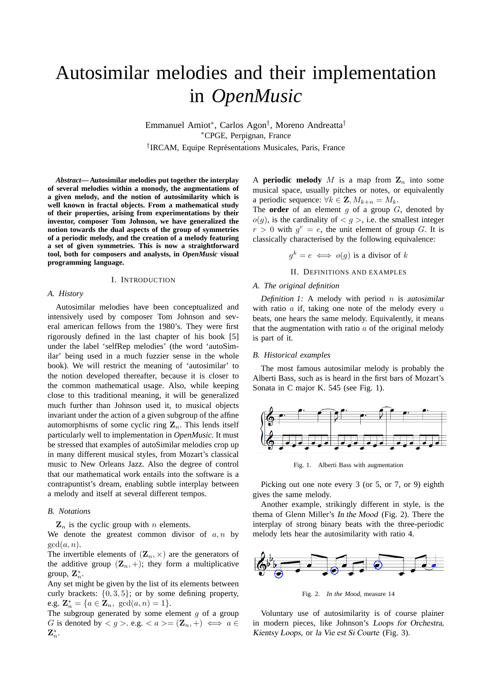# Autosimilar melodies and their implementation in *OpenMusic*

Emmanuel Amiot<sup>∗</sup> , Carlos Agon† , Moreno Andreatta† <sup>∗</sup>CPGE, Perpignan, France , <sup>†</sup>IRCAM, Equipe Représentations Musicales, Paris, France

*Abstract***— Autosimilar melodies put together the interplay of several melodies within a monody, the augmentations of a given melody, and the notion of autosimilarity which is well known in fractal objects. From a mathematical study of their properties, arising from experimentations by their inventor, composer Tom Johnson, we have generalized the notion towards the dual aspects of the group of symmetries of a periodic melody, and the creation of a melody featuring a set of given symmetries. This is now a straightforward tool, both for composers and analysts, in** *OpenMusic* **visual programming language.**

# I. INTRODUCTION

# *A. History*

Autosimilar melodies have been conceptualized and intensively used by composer Tom Johnson and several american fellows from the 1980's. They were first rigorously defined in the last chapter of his book [5] under the label 'selfRep melodies' (the word 'autoSimilar' being used in a much fuzzier sense in the whole book). We will restrict the meaning of 'autosimilar' to the notion developed thereafter, because it is closer to the common mathematical usage. Also, while keeping close to this traditional meaning, it will be generalized much further than Johnson used it, to musical objects invariant under the action of a given subgroup of the affine automorphisms of some cyclic ring  $\mathbf{Z}_n$ . This lends itself particularly well to implementation in *OpenMusic*. It must be stressed that examples of autoSimilar melodies crop up in many different musical styles, from Mozart's classical music to New Orleans Jazz. Also the degree of control that our mathematical work entails into the software is a contrapuntist's dream, enabling subtle interplay between a melody and itself at several different tempos.

#### *B. Notations*

 $\mathbf{Z}_n$  is the cyclic group with n elements.

We denote the greatest common divisor of  $a, n$  by  $gcd(a, n)$ .

The invertible elements of  $(\mathbf{Z}_n, \times)$  are the generators of the additive group  $(\mathbf{Z}_n, +)$ ; they form a multiplicative group,  $\mathbf{Z}_n^*$ .

Any set might be given by the list of its elements between curly brackets:  $\{0, 3, 5\}$ ; or by some defining property, e.g.  $\mathbf{Z}_n^* = \{a \in \mathbf{Z}_n, \text{ gcd}(a, n) = 1\}.$ 

The subgroup generated by some element  $g$  of a group G is denoted by  $\langle g \rangle$ . e.g.  $\langle a \rangle = (\mathbf{Z}_n, +) \iff a \in$  $\mathbf{Z}_n^*.$ 

A **periodic melody** M is a map from  $\mathbf{Z}_n$  into some musical space, usually pitches or notes, or equivalently a periodic sequence:  $\forall k \in \mathbf{Z}, M_{k+n} = M_k$ .

The **order** of an element  $q$  of a group  $G$ , denoted by  $o(g)$ , is the cardinality of  $\langle g \rangle$ , i.e. the smallest integer  $r > 0$  with  $g^r = e$ , the unit element of group G. It is classically characterised by the following equivalence:

$$
g^k = e \iff o(g)
$$
 is a divisor of k

#### II. DEFINITIONS AND EXAMPLES

# *A. The original definition*

*Definition 1:* A melody with period  $n$  is autosimilar with ratio  $a$  if, taking one note of the melody every  $a$ beats, one hears the same melody. Equivalently, it means that the augmentation with ratio  $a$  of the original melody is part of it.

# *B. Historical examples*

The most famous autosimilar melody is probably the Alberti Bass, such as is heard in the first bars of Mozart's Sonata in C major K. 545 (see Fig. 1).



Fig. 1. Alberti Bass with augmentation

Picking out one note every 3 (or 5, or 7, or 9) eighth gives the same melody.

Another example, strikingly different in style, is the thema of Glenn Miller's In the Mood (Fig. 2). There the interplay of strong binary beats with the three-periodic melody lets hear the autosimilarity with ratio 4.



Fig. 2. *In the Mood*, measure 14

Voluntary use of autosimilarity is of course plainer in modern pieces, like Johnson's Loops for Orchestra, Kientsy Loops, or la Vie est Si Courte (Fig. 3).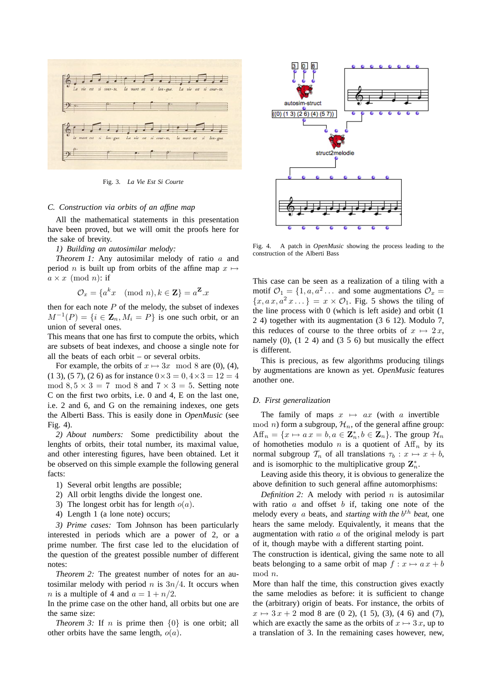

Fig. 3. *La Vie Est Si Courte*

#### *C. Construction via orbits of an affine map*

All the mathematical statements in this presentation have been proved, but we will omit the proofs here for the sake of brevity.

# *1) Building an autosimilar melody:*

*Theorem 1:* Any autosimilar melody of ratio a and period *n* is built up from orbits of the affine map  $x \mapsto$  $a \times x \pmod{n}$ : if

$$
\mathcal{O}_x = \{ a^k x \pmod{n}, k \in \mathbf{Z} \} = a^{\mathbf{Z}} . x
$$

then for each note  $P$  of the melody, the subset of indexes  $M^{-1}(P) = \{i \in \mathbb{Z}_n, M_i = P\}$  is one such orbit, or an union of several ones.

This means that one has first to compute the orbits, which are subsets of beat indexes, and choose a single note for all the beats of each orbit – or several orbits.

For example, the orbits of  $x \mapsto 3x \mod 8$  are (0), (4), (1 3), (5 7), (2 6) as for instance  $0 \times 3 = 0, 4 \times 3 = 12 = 4$ mod  $8.5 \times 3 = 7 \mod 8$  and  $7 \times 3 = 5$ . Setting note C on the first two orbits, i.e. 0 and 4, E on the last one, i.e. 2 and 6, and G on the remaining indexes, one gets the Alberti Bass. This is easily done in *OpenMusic* (see Fig. 4).

*2) About numbers:* Some predictibility about the lenghts of orbits, their total number, its maximal value, and other interesting figures, have been obtained. Let it be observed on this simple example the following general facts:

- 1) Several orbit lengths are possible;
- 2) All orbit lengths divide the longest one.
- 3) The longest orbit has for length  $o(a)$ .
- 4) Length 1 (a lone note) occurs;

*3) Prime cases:* Tom Johnson has been particularly interested in periods which are a power of 2, or a prime number. The first case led to the elucidation of the question of the greatest possible number of different notes:

*Theorem 2:* The greatest number of notes for an autosimilar melody with period n is  $3n/4$ . It occurs when *n* is a multiple of 4 and  $a = 1 + n/2$ .

In the prime case on the other hand, all orbits but one are the same size:

*Theorem 3:* If *n* is prime then  $\{0\}$  is one orbit; all other orbits have the same length,  $o(a)$ .



Fig. 4. A patch in *OpenMusic* showing the process leading to the construction of the Alberti Bass

This case can be seen as a realization of a tiling with a motif  $\mathcal{O}_1 = \{1, a, a^2 \dots \}$  and some augmentations  $\mathcal{O}_x =$  ${x, a x, a^2 x...} = x \times \mathcal{O}_1$ . Fig. 5 shows the tiling of the line process with 0 (which is left aside) and orbit (1 2 4) together with its augmentation (3 6 12). Modulo 7, this reduces of course to the three orbits of  $x \mapsto 2x$ , namely  $(0)$ ,  $(1 \ 2 \ 4)$  and  $(3 \ 5 \ 6)$  but musically the effect is different.

This is precious, as few algorithms producing tilings by augmentations are known as yet. *OpenMusic* features another one.

# *D. First generalization*

The family of maps  $x \mapsto ax$  (with a invertible mod *n*) form a subgroup,  $\mathcal{H}_n$ , of the general affine group:  $Aff_n = \{x \mapsto ax = b, a \in \mathbb{Z}_n^*, b \in \mathbb{Z}_n\}.$  The group  $\mathcal{H}_n$ of homotheties modulo n is a quotient of  $\text{Aff}_n$  by its normal subgroup  $\mathcal{T}_n$  of all translations  $\tau_b : x \mapsto x + b$ , and is isomorphic to the multiplicative group  $\mathbf{Z}_n^*$ .

Leaving aside this theory, it is obvious to generalize the above definition to such general affine automorphisms:

*Definition 2:* A melody with period  $n$  is autosimilar with ratio  $a$  and offset  $b$  if, taking one note of the melody every  $a$  beats, and starting with the  $b^{th}$  beat, one hears the same melody. Equivalently, it means that the augmentation with ratio  $a$  of the original melody is part of it, though maybe with a different starting point.

The construction is identical, giving the same note to all beats belonging to a same orbit of map  $f: x \mapsto a x + b$ mod n.

More than half the time, this construction gives exactly the same melodies as before: it is sufficient to change the (arbitrary) origin of beats. For instance, the orbits of  $x \mapsto 3x + 2 \mod 8$  are (0 2), (1 5), (3), (4 6) and (7), which are exactly the same as the orbits of  $x \mapsto 3x$ , up to a translation of 3. In the remaining cases however, new,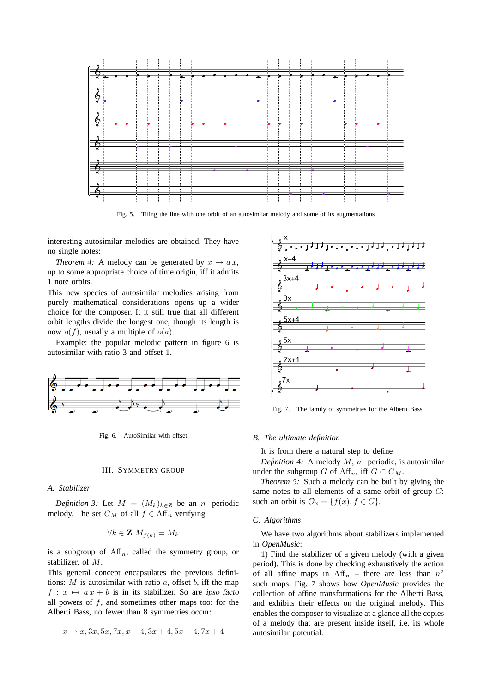

Fig. 5. Tiling the line with one orbit of an autosimilar melody and some of its augmentations

interesting autosimilar melodies are obtained. They have no single notes:

*Theorem 4:* A melody can be generated by  $x \mapsto ax$ , up to some appropriate choice of time origin, iff it admits 1 note orbits.

This new species of autosimilar melodies arising from purely mathematical considerations opens up a wider choice for the composer. It it still true that all different orbit lengths divide the longest one, though its length is now  $o(f)$ , usually a multiple of  $o(a)$ .

Example: the popular melodic pattern in figure 6 is autosimilar with ratio 3 and offset 1.



Fig. 6. AutoSimilar with offset

#### III. SYMMETRY GROUP

# *A. Stabilizer*

*Definition 3:* Let  $M = (M_k)_{k \in \mathbb{Z}}$  be an n–periodic melody. The set  $G_M$  of all  $f \in Aff_n$  verifying

$$
\forall k \in \mathbf{Z} \ M_{f(k)} = M_k
$$

is a subgroup of  $\text{Aff}_n$ , called the symmetry group, or stabilizer, of M.

This general concept encapsulates the previous definitions:  $M$  is autosimilar with ratio  $a$ , offset  $b$ , iff the map  $f: x \mapsto ax + b$  is in its stabilizer. So are ipso facto all powers of  $f$ , and sometimes other maps too: for the Alberti Bass, no fewer than 8 symmetries occur:

$$
x \mapsto x, 3x, 5x, 7x, x+4, 3x+4, 5x+4, 7x+4
$$



Fig. 7. The family of symmetries for the Alberti Bass

## *B. The ultimate definition*

It is from there a natural step to define

*Definition 4:* A melody *M*, *n*−periodic, is autosimilar under the subgroup G of  $\mathrm{Aff}_n$ , iff  $G \subset G_M$ .

*Theorem 5:* Such a melody can be built by giving the same notes to all elements of a same orbit of group  $G$ : such an orbit is  $\mathcal{O}_x = \{f(x), f \in G\}.$ 

## *C. Algorithms*

We have two algorithms about stabilizers implemented in *OpenMusic*:

1) Find the stabilizer of a given melody (with a given period). This is done by checking exhaustively the action of all affine maps in  $\text{Aff}_n$  – there are less than  $n^2$ such maps. Fig. 7 shows how *OpenMusic* provides the collection of affine transformations for the Alberti Bass, and exhibits their effects on the original melody. This enables the composer to visualize at a glance all the copies of a melody that are present inside itself, i.e. its whole autosimilar potential.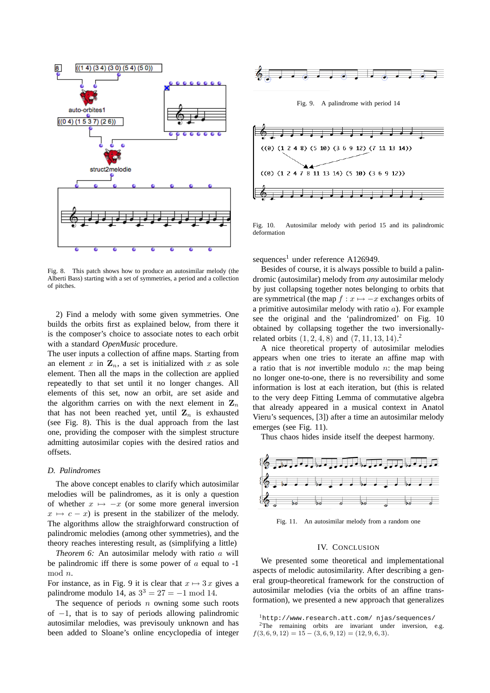

Fig. 8. This patch shows how to produce an autosimilar melody (the Alberti Bass) starting with a set of symmetries, a period and a collection of pitches.

2) Find a melody with some given symmetries. One builds the orbits first as explained below, from there it is the composer's choice to associate notes to each orbit with a standard *OpenMusic* procedure.

The user inputs a collection of affine maps. Starting from an element  $x$  in  $\mathbf{Z}_n$ , a set is initialized with  $x$  as sole element. Then all the maps in the collection are applied repeatedly to that set until it no longer changes. All elements of this set, now an orbit, are set aside and the algorithm carries on with the next element in  $\mathbf{Z}_n$ that has not been reached yet, until  $\mathbf{Z}_n$  is exhausted (see Fig. 8). This is the dual approach from the last one, providing the composer with the simplest structure admitting autosimilar copies with the desired ratios and offsets.

#### *D. Palindromes*

The above concept enables to clarify which autosimilar melodies will be palindromes, as it is only a question of whether  $x \mapsto -x$  (or some more general inversion  $x \mapsto c - x$ ) is present in the stabilizer of the melody. The algorithms allow the straighforward construction of palindromic melodies (among other symmetries), and the theory reaches interesting result, as (simplifying a little)

*Theorem 6:* An autosimilar melody with ratio a will be palindromic iff there is some power of  $\alpha$  equal to -1 mod n.

For instance, as in Fig. 9 it is clear that  $x \mapsto 3x$  gives a palindrome modulo 14, as  $3^3 = 27 = -1 \mod 14$ .

The sequence of periods  $n$  owning some such roots of  $-1$ , that is to say of periods allowing palindromic autosimilar melodies, was previsouly unknown and has been added to Sloane's online encyclopedia of integer



Fig. 9. A palindrome with period 14



Fig. 10. Autosimilar melody with period 15 and its palindromic deformation

sequences<sup>1</sup> under reference A126949.

Besides of course, it is always possible to build a palindromic (autosimilar) melody from *any* autosimilar melody by just collapsing together notes belonging to orbits that are symmetrical (the map  $f : x \mapsto -x$  exchanges orbits of a primitive autosimilar melody with ratio  $a$ ). For example see the original and the 'palindromized' on Fig. 10 obtained by collapsing together the two inversionallyrelated orbits  $(1, 2, 4, 8)$  and  $(7, 11, 13, 14).$ <sup>2</sup>

A nice theoretical property of autosimilar melodies appears when one tries to iterate an affine map with a ratio that is *not* invertible modulo n: the map being no longer one-to-one, there is no reversibility and some information is lost at each iteration, but (this is related to the very deep Fitting Lemma of commutative algebra that already appeared in a musical context in Anatol Vieru's sequences, [3]) after a time an autosimilar melody emerges (see Fig. 11).

Thus chaos hides inside itself the deepest harmony.



Fig. 11. An autosimilar melody from a random one

#### IV. CONCLUSION

We presented some theoretical and implementational aspects of melodic autosimilarity. After describing a general group-theoretical framework for the construction of autosimilar melodies (via the orbits of an affine transformation), we presented a new approach that generalizes

<sup>1</sup>http://www.research.att.com/ njas/sequences/

<sup>&</sup>lt;sup>2</sup>The remaining orbits are invariant under inversion, e.g.  $f(3, 6, 9, 12) = 15 - (3, 6, 9, 12) = (12, 9, 6, 3).$